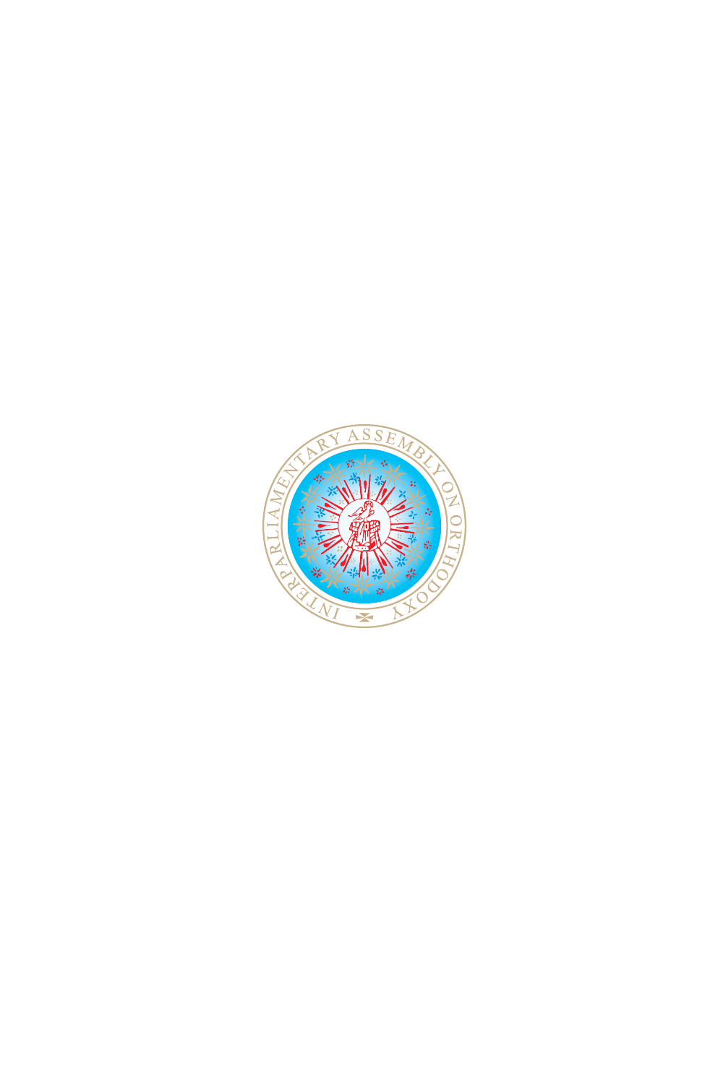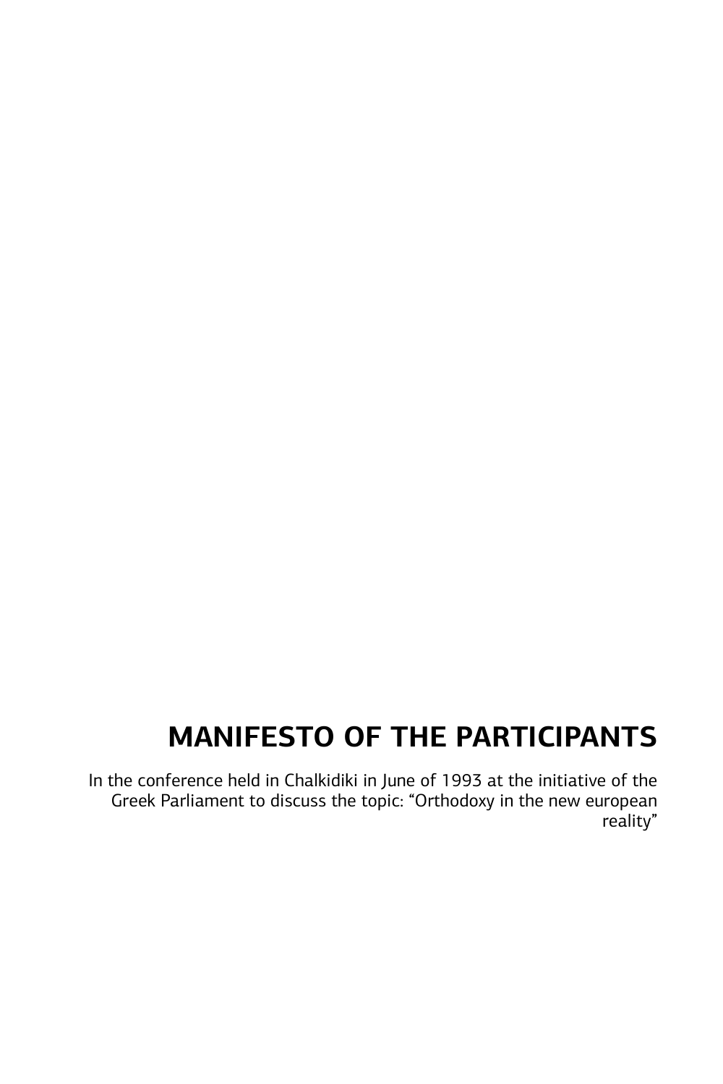## **MANIFESTO OF THE PARTICIPANTS**

In the conference held in Chalkidiki in June of 1993 at the initiative of the Greek Parliament to discuss the topic: "Orthodoxy in the new european reality"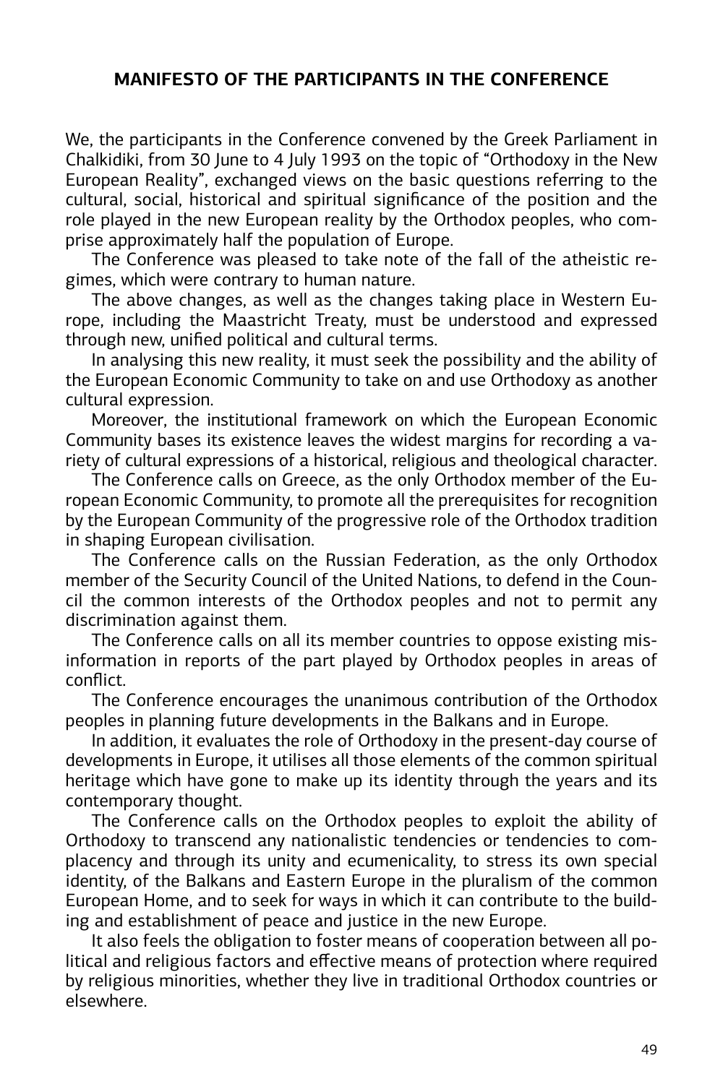#### **MANIFESTO OF THE PARTICIPANTS IN THE CONFERENCE**

We, the participants in the Conference convened by the Greek Parliament in Chalkidiki, from 30 June to 4 July 1993 on the topic of "Orthodoxy in the New European Reality", exchanged views on the basic questions referring to the cultural, social, historical and spiritual significance of the position and the role played in the new European reality by the Orthodox peoples, who comprise approximately half the population of Europe.

The Conference was pleased to take note of the fall of the atheistic regimes, which were contrary to human nature.

The above changes, as well as the changes taking place in Western Europe, including the Maastricht Treaty, must be understood and expressed through new, unified political and cultural terms.

In analysing this new reality, it must seek the possibility and the ability of the European Economic Community to take on and use Orthodoxy as another cultural expression.

Moreover, the institutional framework on which the European Economic Community bases its existence leaves the widest margins for recording a variety of cultural expressions of a historical, religious and theological character.

The Conference calls on Greece, as the only Orthodox member of the European Economic Community, to promote all the prerequisites for recognition by the European Community of the progressive role of the Orthodox tradition in shaping European civilisation.

The Conference calls on the Russian Federation, as the only Orthodox member of the Security Council of the United Nations, to defend in the Council the common interests of the Orthodox peoples and not to permit any discrimination against them.

The Conference calls on all its member countries to oppose existing misinformation in reports of the part played by Orthodox peoples in areas of conflict.

The Conference encourages the unanimous contribution of the Orthodox peoples in planning future developments in the Balkans and in Europe.

In addition, it evaluates the role of Orthodoxy in the present-day course of developments in Europe, it utilises all those elements of the common spiritual heritage which have gone to make up its identity through the years and its contemporary thought.

The Conference calls on the Orthodox peoples to exploit the ability of Orthodoxy to transcend any nationalistic tendencies or tendencies to complacency and through its unity and ecumenicality, to stress its own special identity, of the Balkans and Eastern Europe in the pluralism of the common European Home, and to seek for ways in which it can contribute to the building and establishment of peace and justice in the new Europe.

It also feels the obligation to foster means of cooperation between all political and religious factors and effective means of protection where required by religious minorities, whether they live in traditional Orthodox countries or elsewhere.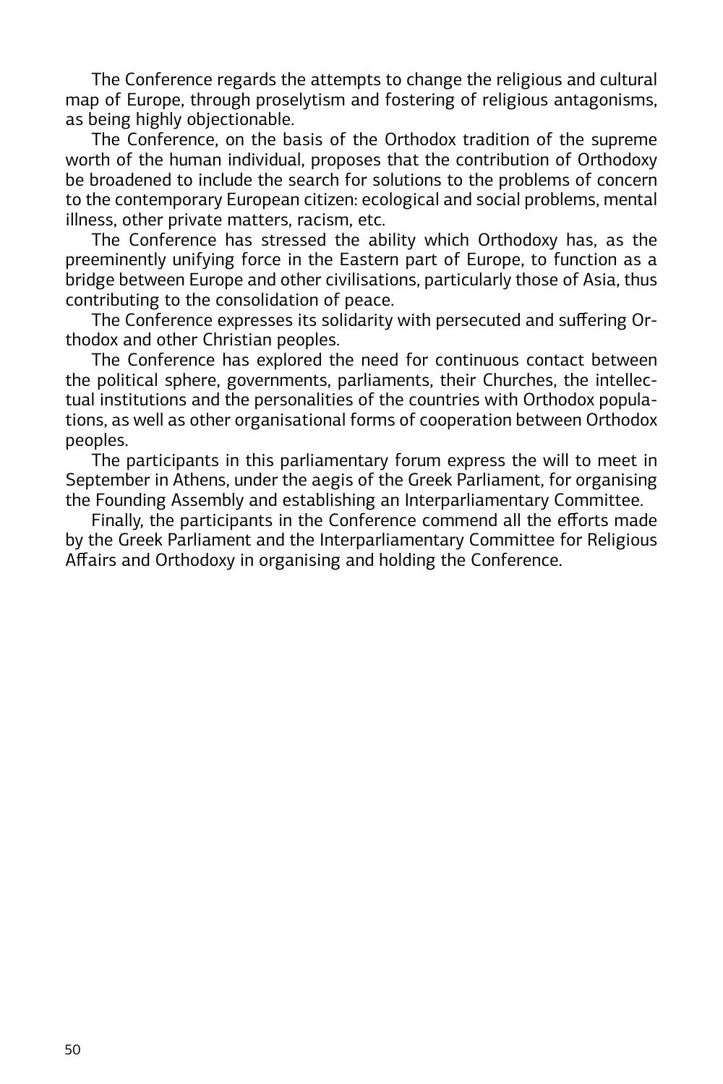The Conference regards the attempts to change the religious and cultural map of Europe, through proselytism and fostering of religious antagonisms, as being highly objectionable.

The Conference, on the basis of the Orthodox tradition of the supreme worth of the human individual, proposes that the contribution of Orthodoxy be broadened to include the search for solutions to the problems of concern to the contemporary European citizen: ecological and social problems, mental illness, other private matters, racism, etc.

The Conference has stressed the ability which Orthodoxy has, as the preeminently unifying force in the Eastern part of Europe, to function as a bridge between Europe and other civilisations, particularly those of Asia, thus contributing to the consolidation of peace.

The Conference expresses its solidarity with persecuted and suffering Orthodox and other Christian peoples.

The Conference has explored the need for continuous contact between the political sphere, governments, parliaments, their Churches, the intellectual institutions and the personalities of the countries with Orthodox populations, as well as other organisational forms of cooperation between Orthodox peoples.

The participants in this parliamentary forum express the will to meet in September in Athens, under the aegis of the Greek Parliament, for organising the Founding Assembly and establishing an Interparliamentary Committee.

Finally, the participants in the Conference commend all the efforts made by the Greek Parliament and the Interparliamentary Committee for Religious Affairs and Orthodoxy in organising and holding the Conference.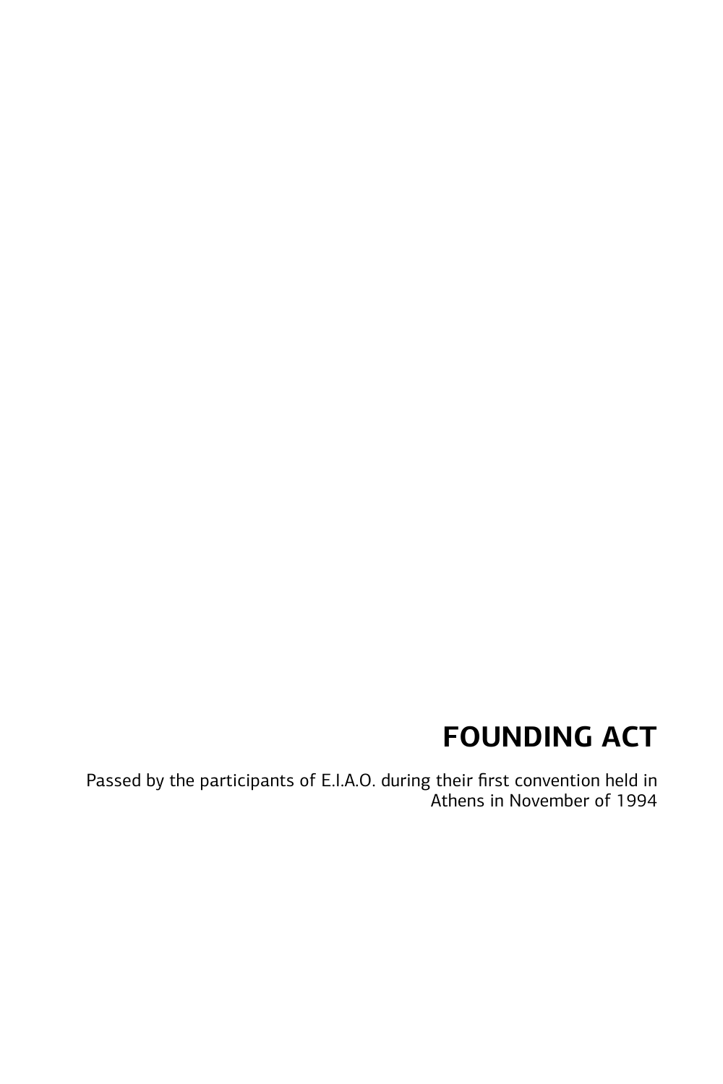# **FOUNDING ACT**

Passed by the participants of E.I.A.O. during their first convention held in Athens in November of 1994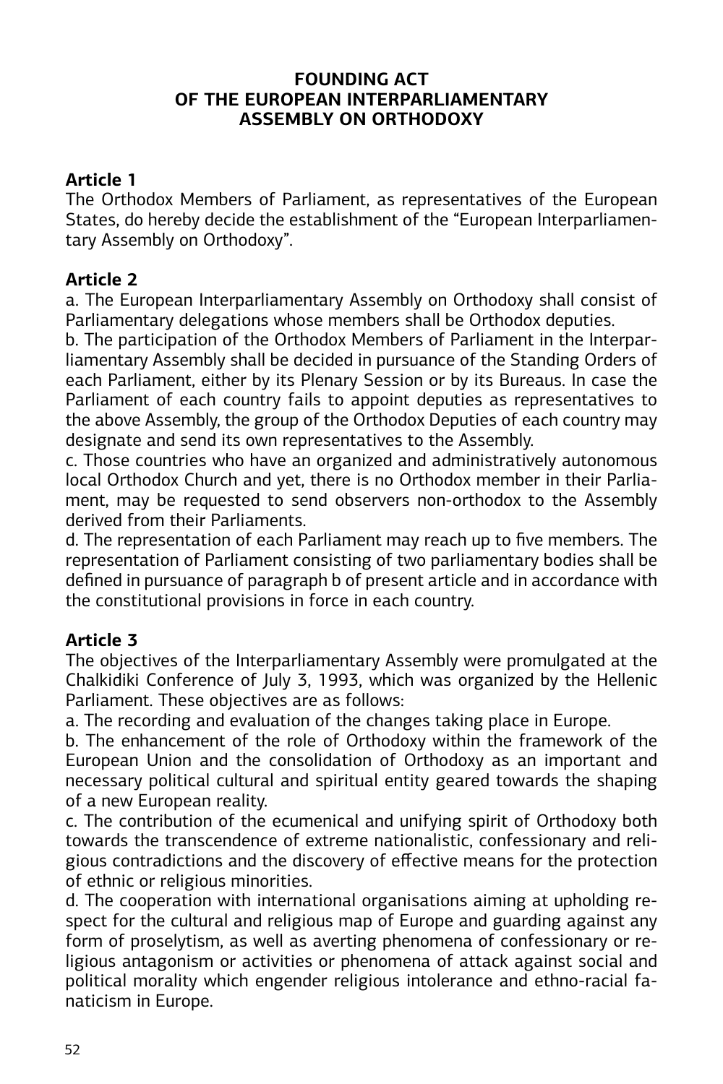#### **FOUNDING ACT OF THE EUROPEAN INTERPARLIAMENTARY ASSEMBLY ON ORTHODOXY**

#### **Article 1**

The Orthodox Members of Parliament, as representatives of the European States, do hereby decide the establishment of the "European Interparliamentary Assembly on Orthodoxy".

## **Article 2**

a. The European Interparliamentary Assembly on Orthodoxy shall consist of Parliamentary delegations whose members shall be Orthodox deputies.

b. The participation of the Orthodox Members of Parliament in the Interparliamentary Assembly shall be decided in pursuance of the Standing Orders of each Parliament, either by its Plenary Session or by its Bureaus. In case the Parliament of each country fails to appoint deputies as representatives to the above Assembly, the group of the Orthodox Deputies of each country may designate and send its own representatives to the Assembly.

c. Those countries who have an organized and administratively autonomous local Orthodox Church and yet, there is no Orthodox member in their Parliament, may be requested to send observers non-orthodox to the Assembly derived from their Parliaments.

d. The representation of each Parliament may reach up to five members. The representation of Parliament consisting of two parliamentary bodies shall be defined in pursuance of paragraph b of present article and in accordance with the constitutional provisions in force in each country.

## **Article 3**

The objectives of the Interparliamentary Assembly were promulgated at the Chalkidiki Conference of July 3, 1993, which was organized by the Hellenic Parliament. These objectives are as follows:

a. The recording and evaluation of the changes taking place in Europe.

b. The enhancement of the role of Orthodoxy within the framework of the European Union and the consolidation of Orthodoxy as an important and necessary political cultural and spiritual entity geared towards the shaping of a new European reality.

c. The contribution of the ecumenical and unifying spirit of Orthodoxy both towards the transcendence of extreme nationalistic, confessionary and religious contradictions and the discovery of effective means for the protection of ethnic or religious minorities.

d. The cooperation with international organisations aiming at upholding respect for the cultural and religious map of Europe and guarding against any form of proselytism, as well as averting phenomena of confessionary or religious antagonism or activities or phenomena of attack against social and political morality which engender religious intolerance and ethno-racial fanaticism in Europe.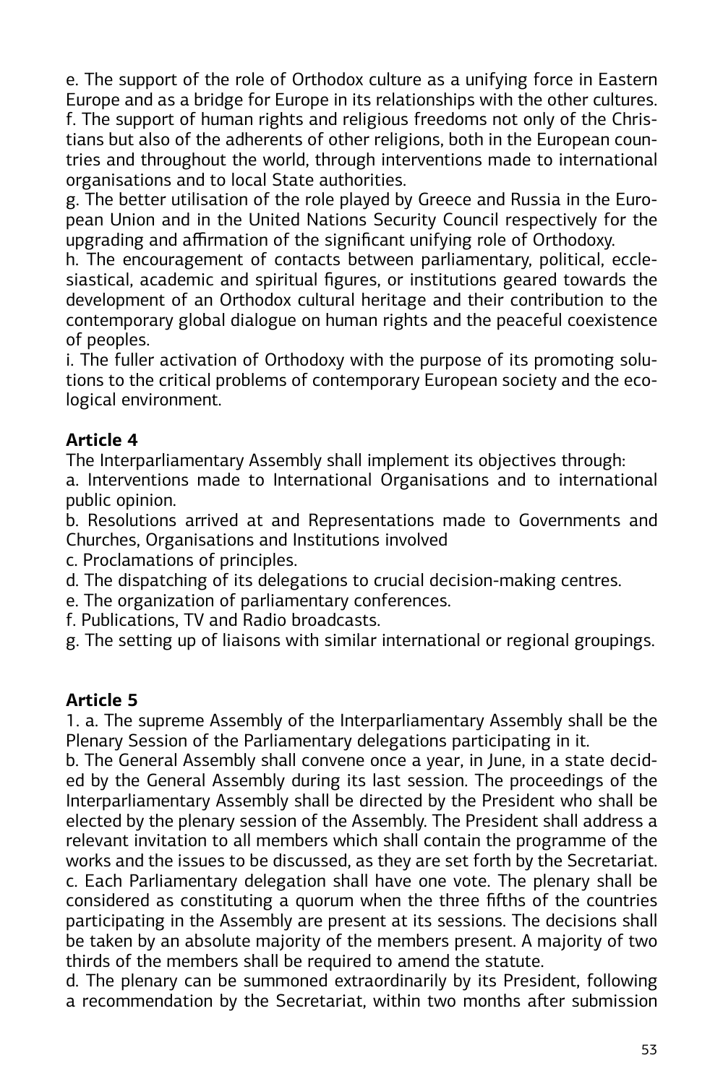e. The support of the role of Orthodox culture as a unifying force in Eastern Europe and as a bridge for Europe in its relationships with the other cultures. f. The support of human rights and religious freedoms not only of the Christians but also of the adherents of other religions, both in the European countries and throughout the world, through interventions made to international organisations and to local State authorities.

g. The better utilisation of the role played by Greece and Russia in the European Union and in the United Nations Security Council respectively for the upgrading and affirmation of the significant unifying role of Orthodoxy.

h. The encouragement of contacts between parliamentary, political, ecclesiastical, academic and spiritual figures, or institutions geared towards the development of an Orthodox cultural heritage and their contribution to the contemporary global dialogue on human rights and the peaceful coexistence of peoples.

i. The fuller activation of Orthodoxy with the purpose of its promoting solutions to the critical problems of contemporary European society and the ecological environment.

## **Article 4**

The Interparliamentary Assembly shall implement its objectives through:

a. Interventions made to International Organisations and to international public opinion.

b. Resolutions arrived at and Representations made to Governments and Churches, Organisations and Institutions involved

c. Proclamations of principles.

- d. The dispatching of its delegations to crucial decision-making centres.
- e. The organization of parliamentary conferences.
- f. Publications, TV and Radio broadcasts.

g. The setting up of liaisons with similar international or regional groupings.

## **Article 5**

1. a. The supreme Assembly of the Interparliamentary Assembly shall be the Plenary Session of the Parliamentary delegations participating in it.

b. The General Assembly shall convene once a year, in June, in a state decided by the General Assembly during its last session. The proceedings of the Interparliamentary Assembly shall be directed by the President who shall be elected by the plenary session of the Assembly. The President shall address a relevant invitation to all members which shall contain the programme of the works and the issues to be discussed, as they are set forth by the Secretariat. c. Each Parliamentary delegation shall have one vote. The plenary shall be considered as constituting a quorum when the three fifths of the countries participating in the Assembly are present at its sessions. The decisions shall be taken by an absolute majority of the members present. A majority of two thirds of the members shall be required to amend the statute.

d. The plenary can be summoned extraordinarily by its President, following a recommendation by the Secretariat, within two months after submission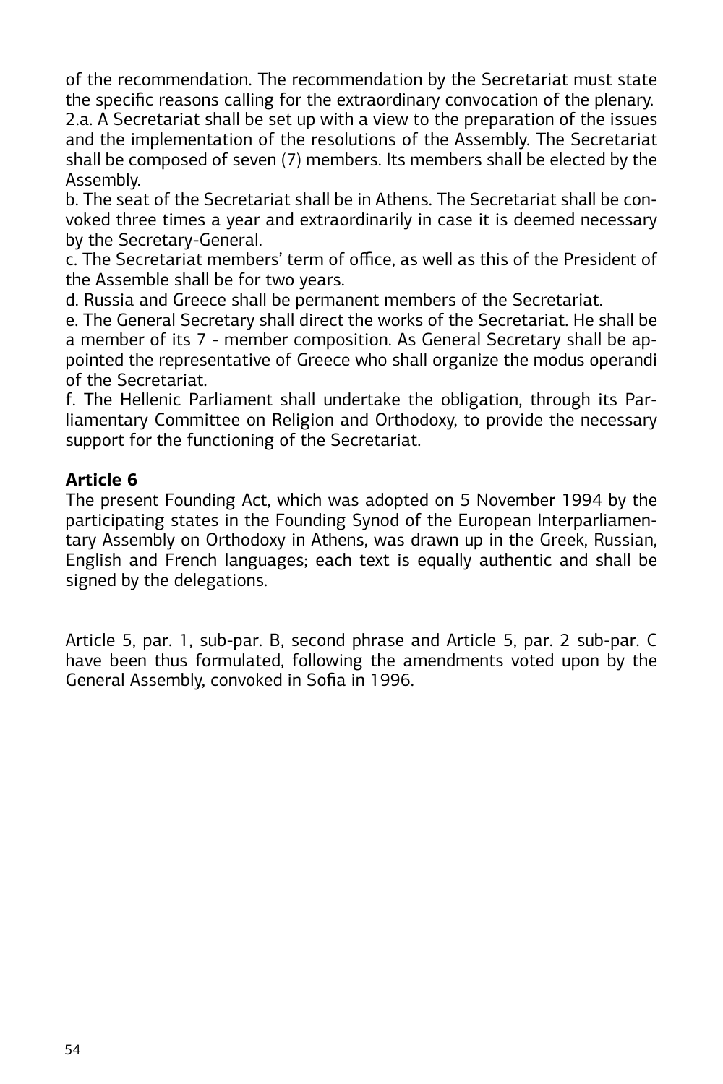of the recommendation. The recommendation by the Secretariat must state the specific reasons calling for the extraordinary convocation of the plenary. 2.a. A Secretariat shall be set up with a view to the preparation of the issues and the implementation of the resolutions of the Assembly. The Secretariat shall be composed of seven (7) members. Its members shall be elected by the Assembly.

b. The seat of the Secretariat shall be in Athens. The Secretariat shall be convoked three times a year and extraordinarily in case it is deemed necessary by the Secretary-General.

c. The Secretariat members' term of office, as well as this of the President of the Assemble shall be for two years.

d. Russia and Greece shall be permanent members of the Secretariat.

e. The General Secretary shall direct the works of the Secretariat. He shall be a member of its 7 - member composition. As General Secretary shall be appointed the representative of Greece who shall organize the modus operandi of the Secretariat.

f. The Hellenic Parliament shall undertake the obligation, through its Parliamentary Committee on Religion and Orthodoxy, to provide the necessary support for the functioning of the Secretariat.

#### **Article 6**

The present Founding Act, which was adopted on 5 November 1994 by the participating states in the Founding Synod of the European Interparliamentary Assembly on Orthodoxy in Athens, was drawn up in the Greek, Russian, English and French languages; each text is equally authentic and shall be signed by the delegations.

Article 5, par. 1, sub-par. B, second phrase and Article 5, par. 2 sub-par. C have been thus formulated, following the amendments voted upon by the General Assembly, convoked in Sofia in 1996.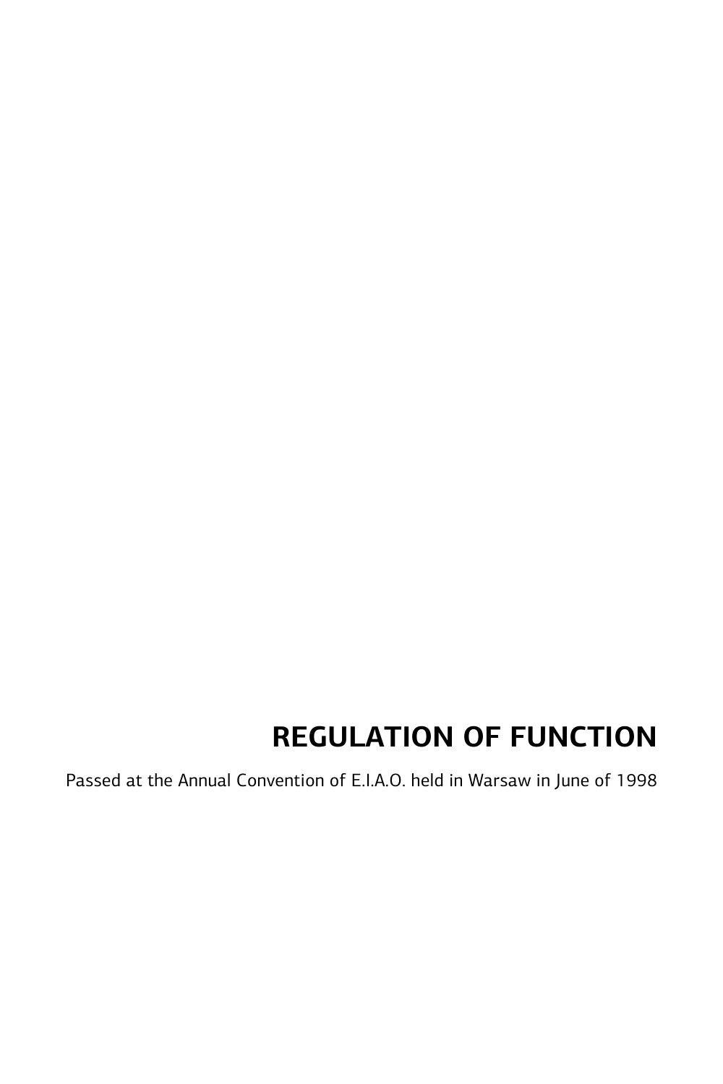## **REGULATION OF FUNCTION**

Passed at the Annual Convention of E.I.A.O. held in Warsaw in June of 1998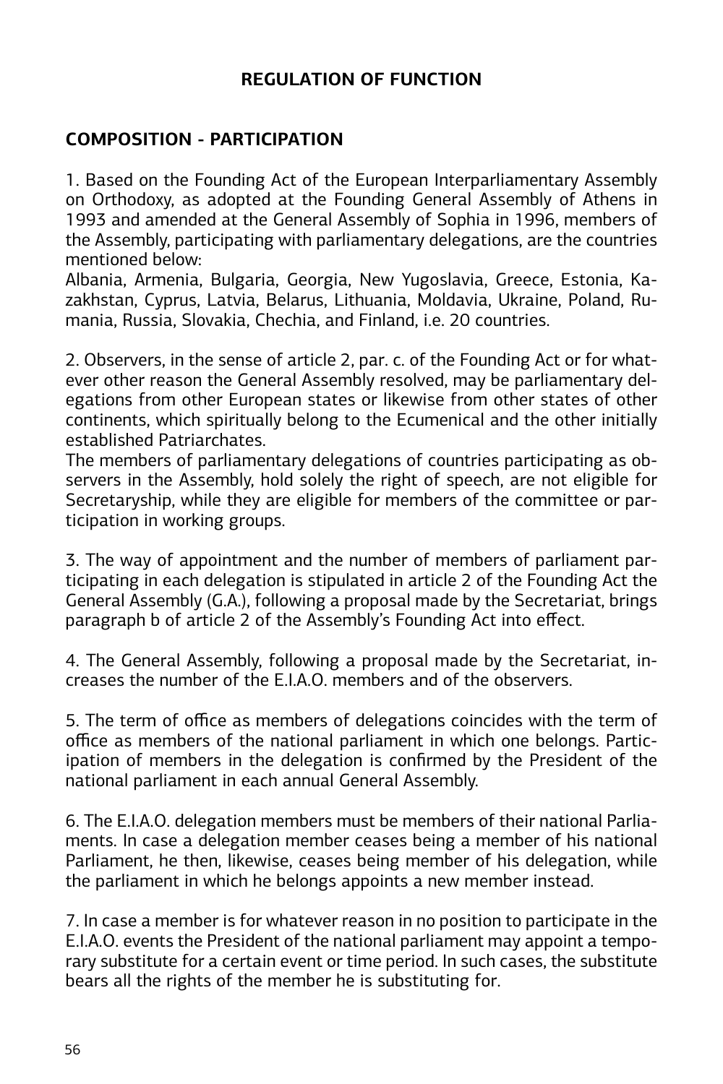#### **REGULATION OF FUNCTION**

#### **COMPOSITION - PARTICIPATION**

1. Based on the Founding Act of the European Interparliamentary Assembly on Orthodoxy, as adopted at the Founding General Assembly of Athens in 1993 and amended at the General Assembly of Sophia in 1996, members of the Assembly, participating with parliamentary delegations, are the countries mentioned below:

Albania, Armenia, Bulgaria, Georgia, New Yugoslavia, Greece, Estonia, Kazakhstan, Cyprus, Latvia, Belarus, Lithuania, Moldavia, Ukraine, Poland, Rumania, Russia, Slovakia, Chechia, and Finland, i.e. 20 countries.

2. Observers, in the sense of article 2, par. c. of the Founding Act or for whatever other reason the General Assembly resolved, may be parliamentary delegations from other European states or likewise from other states of other continents, which spiritually belong to the Ecumenical and the other initially established Patriarchates.

The members of parliamentary delegations of countries participating as observers in the Assembly, hold solely the right of speech, are not eligible for Secretaryship, while they are eligible for members of the committee or participation in working groups.

3. The way of appointment and the number of members of parliament participating in each delegation is stipulated in article 2 of the Founding Act the General Assembly (G.A.), following a proposal made by the Secretariat, brings paragraph b of article 2 of the Assembly's Founding Act into effect.

4. The General Assembly, following a proposal made by the Secretariat, increases the number of the  $FIAO$  members and of the observers.

5. The term of office as members of delegations coincides with the term of office as members of the national parliament in which one belongs. Participation of members in the delegation is confirmed by the President of the national parliament in each annual General Assembly.

6. The E.I.A.O. delegation members must be members of their national Parliaments. In case a delegation member ceases being a member of his national Parliament, he then, likewise, ceases being member of his delegation, while the parliament in which he belongs appoints a new member instead.

7. In case a member is for whatever reason in no position to participate in the E.I.A.O. events the President of the national parliament may appoint a temporary substitute for a certain event or time period. In such cases, the substitute bears all the rights of the member he is substituting for.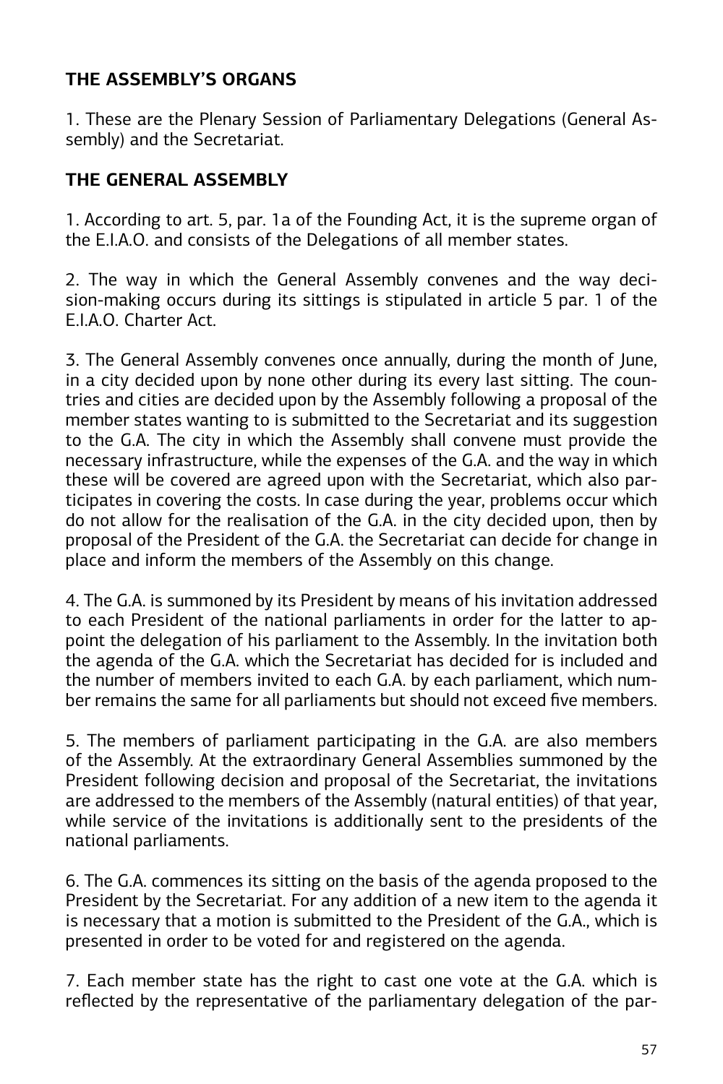## **THE ASSEMBLY'S ORGANS**

1. These are the Plenary Session of Parliamentary Delegations (General Assembly) and the Secretariat.

## **THE GENERAL ASSEMBLY**

1. According to art. 5, par. 1a of the Founding Act, it is the supreme organ of the E.I.A.O. and consists of the Delegations of all member states.

2. The way in which the General Assembly convenes and the way decision-making occurs during its sittings is stipulated in article 5 par. 1 of the E.I.A.O. Charter Act.

3. The General Assembly convenes once annually, during the month of June, in a city decided upon by none other during its every last sitting. The countries and cities are decided upon by the Assembly following a proposal of the member states wanting to is submitted to the Secretariat and its suggestion to the G.A. The city in which the Assembly shall convene must provide the necessary infrastructure, while the expenses of the G.A. and the way in which these will be covered are agreed upon with the Secretariat, which also participates in covering the costs. In case during the year, problems occur which do not allow for the realisation of the G.A. in the city decided upon, then by proposal of the President of the G.A. the Secretariat can decide for change in place and inform the members of the Assembly on this change.

4. The G.A. is summoned by its President by means of his invitation addressed to each President of the national parliaments in order for the latter to appoint the delegation of his parliament to the Assembly. In the invitation both the agenda of the G.A. which the Secretariat has decided for is included and the number of members invited to each G.A. by each parliament, which number remains the same for all parliaments but should not exceed five members.

5. The members of parliament participating in the G.A. are also members of the Assembly. At the extraordinary General Assemblies summoned by the President following decision and proposal of the Secretariat, the invitations are addressed to the members of the Assembly (natural entities) of that year, while service of the invitations is additionally sent to the presidents of the national parliaments.

6. The G.A. commences its sitting on the basis of the agenda proposed to the President by the Secretariat. For any addition of a new item to the agenda it is necessary that a motion is submitted to the President of the G.A., which is presented in order to be voted for and registered on the agenda.

7. Each member state has the right to cast one vote at the G.A. which is reflected by the representative of the parliamentary delegation of the par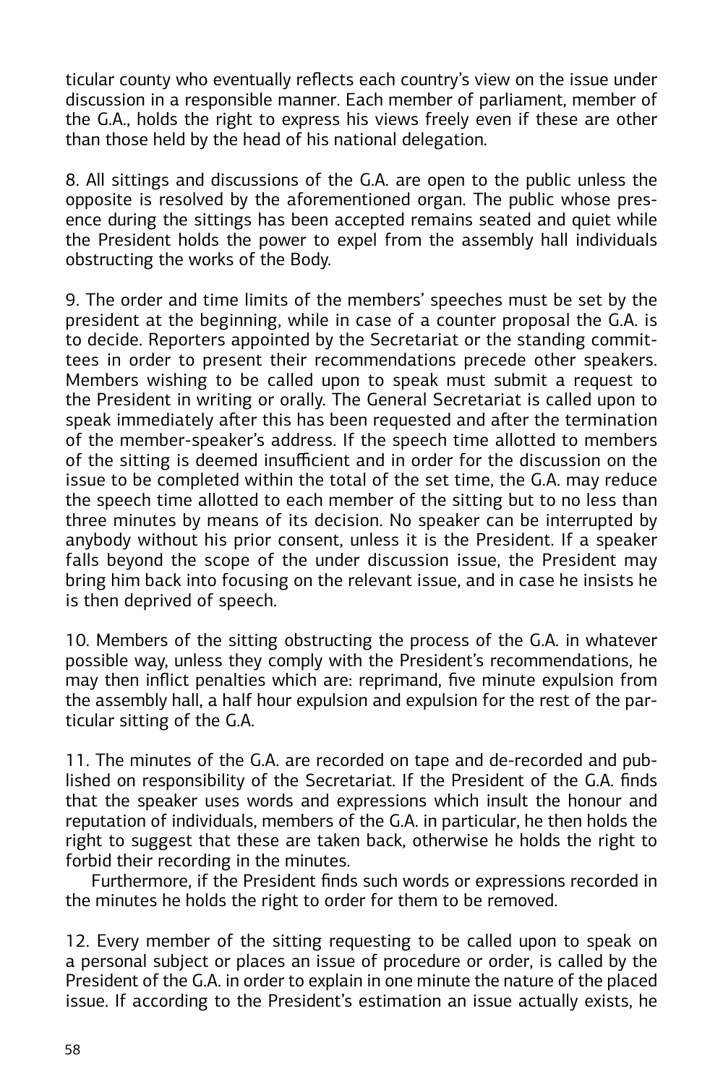ticular county who eventually reflects each country's view on the issue under discussion in a responsible manner. Each member of parliament, member of the G.A., holds the right to express his views freely even if these are other than those held by the head of his national delegation.

8. All sittings and discussions of the G.A. are open to the public unless the opposite is resolved by the aforementioned organ. The public whose presence during the sittings has been accepted remains seated and quiet while the President holds the power to expel from the assembly hall individuals obstructing the works of the Body.

9. The order and time limits of the members' speeches must be set by the president at the beginning, while in case of a counter proposal the G.A. is to decide. Reporters appointed by the Secretariat or the standing committees in order to present their recommendations precede other speakers. Members wishing to be called upon to speak must submit a request to the President in writing or orally. The General Secretariat is called upon to speak immediately after this has been requested and after the termination of the member-speaker's address. If the speech time allotted to members of the sitting is deemed insufficient and in order for the discussion on the issue to be completed within the total of the set time, the G.A. may reduce the speech time allotted to each member of the sitting but to no less than three minutes by means of its decision. No speaker can be interrupted by anybody without his prior consent, unless it is the President. If a speaker falls beyond the scope of the under discussion issue, the President may bring him back into focusing on the relevant issue, and in case he insists he is then deprived of speech.

10. Members of the sitting obstructing the process of the G.A. in whatever possible way, unless they comply with the President's recommendations, he may then inflict penalties which are: reprimand, five minute expulsion from the assembly hall, a half hour expulsion and expulsion for the rest of the particular sitting of the G.A.

11. The minutes of the G.A. are recorded on tape and de-recorded and published on responsibility of the Secretariat. If the President of the G.A. finds that the speaker uses words and expressions which insult the honour and reputation of individuals, members of the G.A. in particular, he then holds the right to suggest that these are taken back, otherwise he holds the right to forbid their recording in the minutes.

Furthermore, if the President finds such words or expressions recorded in the minutes he holds the right to order for them to be removed.

12. Every member of the sitting requesting to be called upon to speak on a personal subject or places an issue of procedure or order, is called by the President of the G.A. in order to explain in one minute the nature of the placed issue. If according to the President's estimation an issue actually exists, he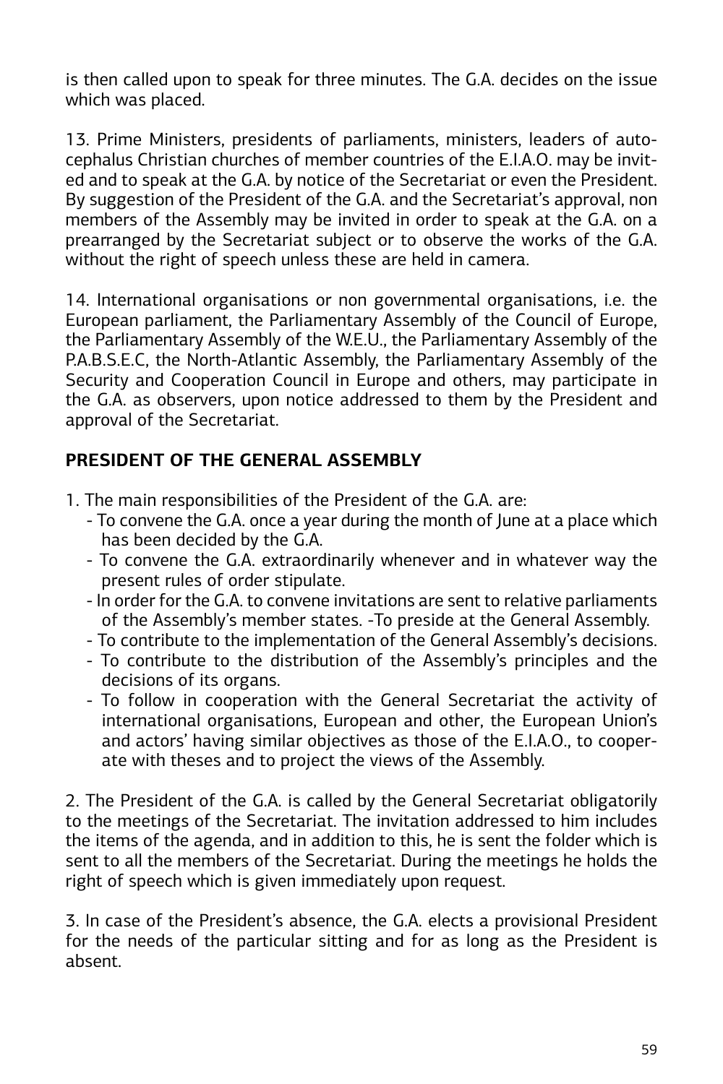is then called upon to speak for three minutes. The G.A. decides on the issue which was placed.

13. Prime Ministers, presidents of parliaments, ministers, leaders of autocephalus Christian churches of member countries of the E.I.A.O. may be invited and to speak at the G.A. by notice of the Secretariat or even the President. By suggestion of the President of the G.A. and the Secretariat's approval, non members of the Assembly may be invited in order to speak at the G.A. on a prearranged by the Secretariat subject or to observe the works of the G.A. without the right of speech unless these are held in camera.

14. International organisations or non governmental organisations, i.e. the European parliament, the Parliamentary Assembly of the Council of Europe, the Parliamentary Assembly of the W.E.U., the Parliamentary Assembly of the P.A.B.S.E.C, the North-Atlantic Assembly, the Parliamentary Assembly of the Security and Cooperation Council in Europe and others, may participate in the G.A. as observers, upon notice addressed to them by the President and approval of the Secretariat.

## **PRESIDENT OF THE GENERAL ASSEMBLY**

- 1. The main responsibilities of the President of the G.A. are:
	- To convene the G.A. once a year during the month of June at a place which has been decided by the G.A.
	- To convene the G.A. extraordinarily whenever and in whatever way the present rules of order stipulate.
	- In order for the G.A. to convene invitations are sent to relative parliaments of the Assembly's member states. -To preside at the General Assembly.
	- To contribute to the implementation of the General Assembly's decisions.
	- To contribute to the distribution of the Assembly's principles and the decisions of its organs.
	- To follow in cooperation with the General Secretariat the activity of international organisations, European and other, the European Union's and actors' having similar objectives as those of the E.I.A.O., to cooperate with theses and to project the views of the Assembly.

2. The President of the G.A. is called by the General Secretariat obligatorily to the meetings of the Secretariat. The invitation addressed to him includes the items of the agenda, and in addition to this, he is sent the folder which is sent to all the members of the Secretariat. During the meetings he holds the right of speech which is given immediately upon request.

3. In case of the President's absence, the G.A. elects a provisional President for the needs of the particular sitting and for as long as the President is absent.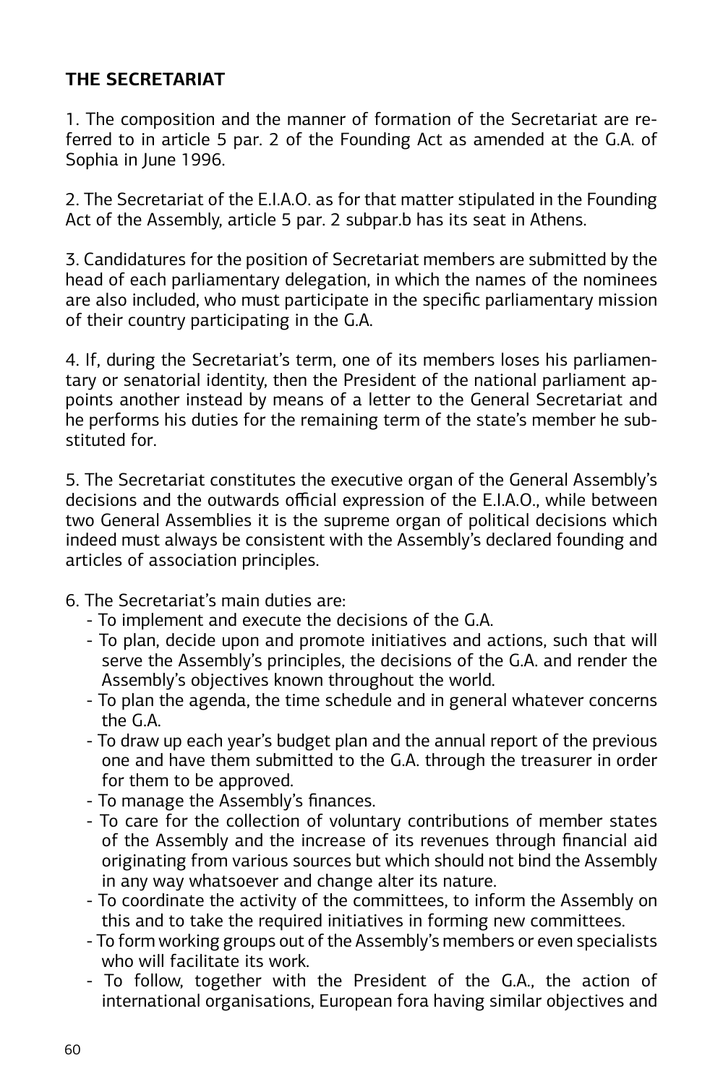#### **THE SECRETARIAT**

1. The composition and the manner of formation of the Secretariat are referred to in article 5 par. 2 of the Founding Act as amended at the G.A. of Sophia in June 1996.

2. The Secretariat of the E.I.A.O. as for that matter stipulated in the Founding Act of the Assembly, article 5 par. 2 subpar.b has its seat in Athens.

3. Candidatures for the position of Secretariat members are submitted by the head of each parliamentary delegation, in which the names of the nominees are also included, who must participate in the specific parliamentary mission of their country participating in the G.A.

4. If, during the Secretariat's term, one of its members loses his parliamentary or senatorial identity, then the President of the national parliament appoints another instead by means of a letter to the General Secretariat and he performs his duties for the remaining term of the state's member he substituted for.

5. The Secretariat constitutes the executive organ of the General Assembly's decisions and the outwards official expression of the E.I.A.O., while between two General Assemblies it is the supreme organ of political decisions which indeed must always be consistent with the Assembly's declared founding and articles of association principles.

- 6. The Secretariat's main duties are:
	- To implement and execute the decisions of the G.A.
	- To plan, decide upon and promote initiatives and actions, such that will serve the Assembly's principles, the decisions of the G.A. and render the Assembly's objectives known throughout the world.
	- To plan the agenda, the time schedule and in general whatever concerns the G.A.
	- To draw up each year's budget plan and the annual report of the previous one and have them submitted to the G.A. through the treasurer in order for them to be approved.
	- To manage the Assembly's finances.
	- To care for the collection of voluntary contributions of member states of the Assembly and the increase of its revenues through financial aid originating from various sources but which should not bind the Assembly in any way whatsoever and change alter its nature.
	- To coordinate the activity of the committees, to inform the Assembly on this and to take the required initiatives in forming new committees.
	- To form working groups out of the Assembly's members or even specialists who will facilitate its work
	- To follow, together with the President of the G.A., the action of international organisations, European fora having similar objectives and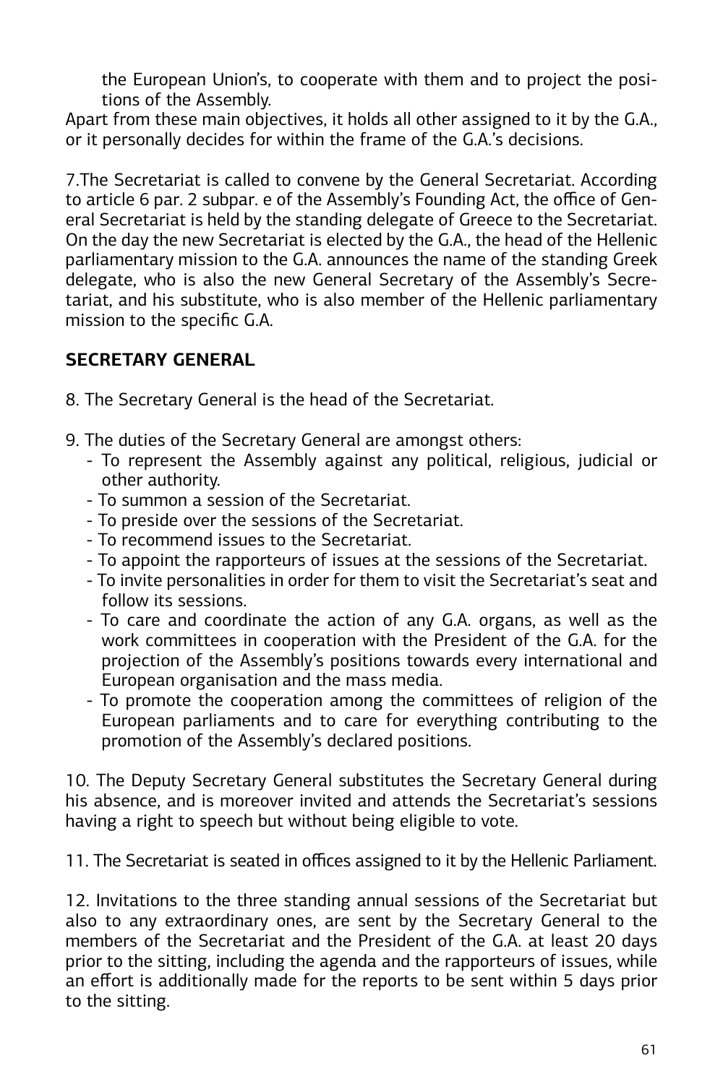the European Union's, to cooperate with them and to project the positions of the Assembly.

Apart from these main objectives, it holds all other assigned to it by the G.A., or it personally decides for within the frame of the G.A.'s decisions.

7.The Secretariat is called to convene by the General Secretariat. According to article 6 par. 2 subpar. e of the Assembly's Founding Act, the office of General Secretariat is held by the standing delegate of Greece to the Secretariat. On the day the new Secretariat is elected by the G.A., the head of the Hellenic parliamentary mission to the G.A. announces the name of the standing Greek delegate, who is also the new General Secretary of the Assembly's Secretariat, and his substitute, who is also member of the Hellenic parliamentary mission to the specific G.A.

## **SECRETARY GENERAL**

- 8. The Secretary General is the head of the Secretariat.
- 9. The duties of the Secretary General are amongst others:
	- To represent the Assembly against any political, religious, judicial or other authority.
	- To summon a session of the Secretariat.
	- To preside over the sessions of the Secretariat.
	- To recommend issues to the Secretariat.
	- To appoint the rapporteurs of issues at the sessions of the Secretariat.
	- To invite personalities in order for them to visit the Secretariat's seat and follow its sessions.
	- To care and coordinate the action of any G.A. organs, as well as the work committees in cooperation with the President of the G.A. for the projection of the Assembly's positions towards every international and European organisation and the mass media.
	- To promote the cooperation among the committees of religion of the European parliaments and to care for everything contributing to the promotion of the Assembly's declared positions.

10. The Deputy Secretary General substitutes the Secretary General during his absence, and is moreover invited and attends the Secretariat's sessions having a right to speech but without being eligible to vote.

11. The Secretariat is seated in offices assigned to it by the Hellenic Parliament.

12. Invitations to the three standing annual sessions of the Secretariat but also to any extraordinary ones, are sent by the Secretary General to the members of the Secretariat and the President of the G.A. at least 20 days prior to the sitting, including the agenda and the rapporteurs of issues, while an effort is additionally made for the reports to be sent within 5 days prior to the sitting.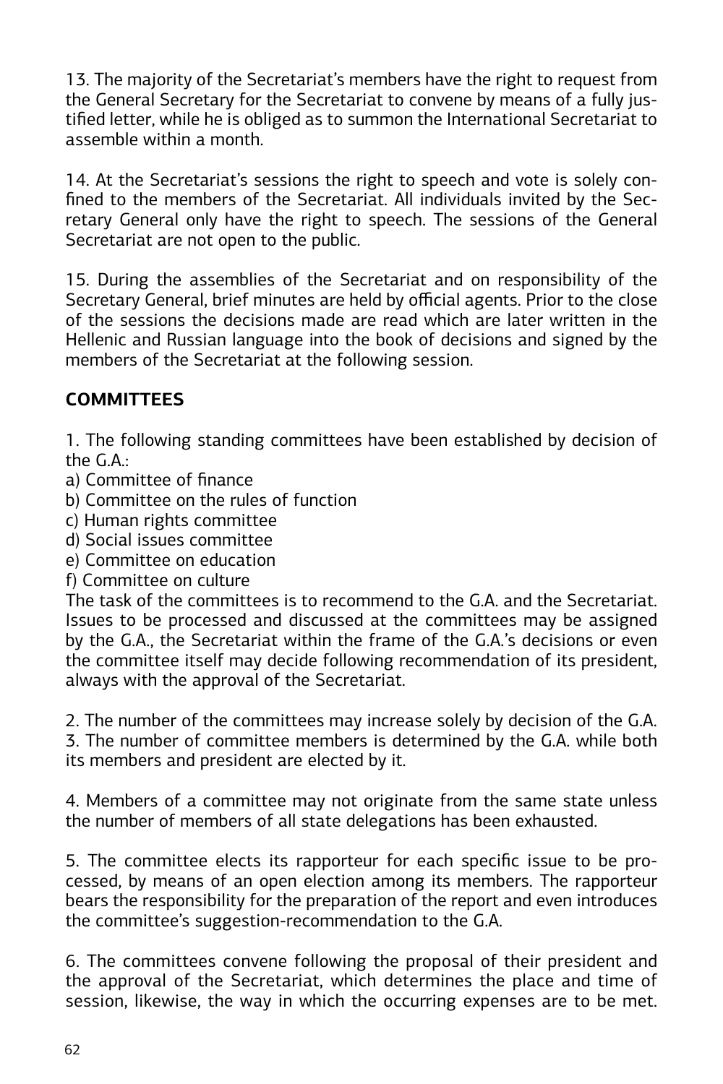13. The majority of the Secretariat's members have the right to request from the General Secretary for the Secretariat to convene by means of a fully justified letter, while he is obliged as to summon the International Secretariat to assemble within a month.

14. At the Secretariat's sessions the right to speech and vote is solely confined to the members of the Secretariat. All individuals invited by the Secretary General only have the right to speech. The sessions of the General Secretariat are not open to the public.

15. During the assemblies of the Secretariat and on responsibility of the Secretary General, brief minutes are held by official agents. Prior to the close of the sessions the decisions made are read which are later written in the Hellenic and Russian language into the book of decisions and signed by the members of the Secretariat at the following session.

## **COMMITTEES**

1. The following standing committees have been established by decision of the  $G$   $\Delta$ .

- a) Committee of finance
- b) Committee on the rules of function
- c) Human rights committee
- d) Social issues committee
- e) Committee on education
- f) Committee on culture

The task of the committees is to recommend to the G.A. and the Secretariat. Issues to be processed and discussed at the committees may be assigned by the G.A., the Secretariat within the frame of the G.A.'s decisions or even the committee itself may decide following recommendation of its president, always with the approval of the Secretariat.

2. The number of the committees may increase solely by decision of the G.A. 3. The number of committee members is determined by the G.A. while both its members and president are elected by it.

4. Members of a committee may not originate from the same state unless the number of members of all state delegations has been exhausted.

5. The committee elects its rapporteur for each specific issue to be processed, by means of an open election among its members. The rapporteur bears the responsibility for the preparation of the report and even introduces the committee's suggestion-recommendation to the G.A.

6. The committees convene following the proposal of their president and the approval of the Secretariat, which determines the place and time of session, likewise, the way in which the occurring expenses are to be met.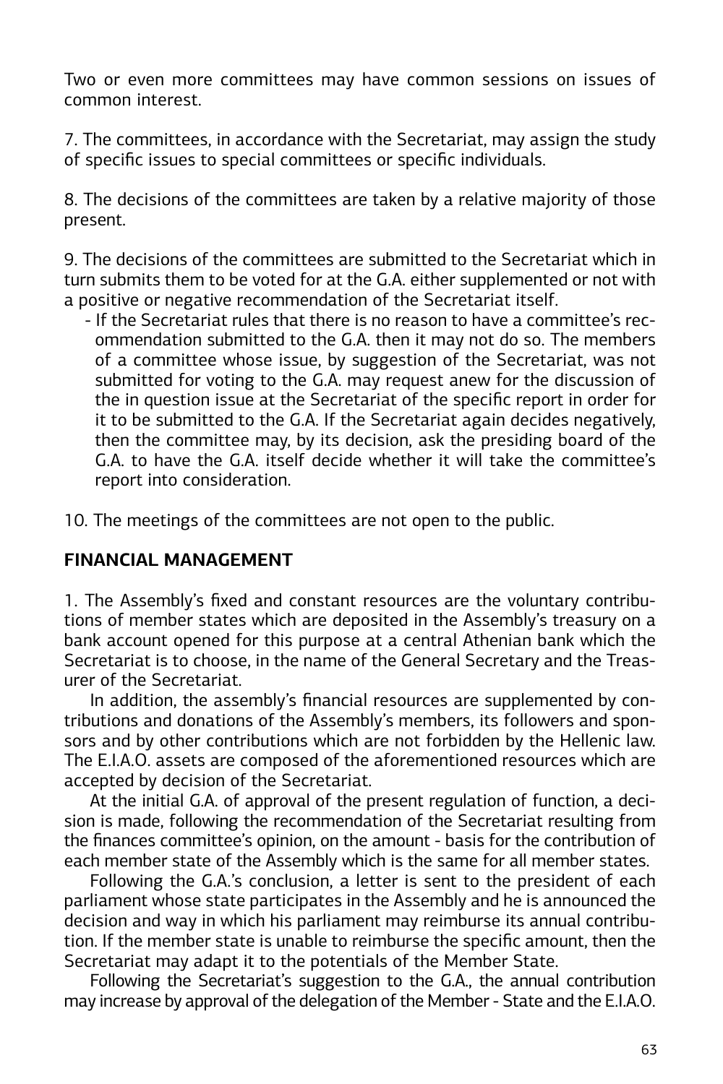Two or even more committees may have common sessions on issues of common interest.

7. The committees, in accordance with the Secretariat, may assign the study of specific issues to special committees or specific individuals.

8. The decisions of the committees are taken by a relative majority of those present.

9. The decisions of the committees are submitted to the Secretariat which in turn submits them to be voted for at the G.A. either supplemented or not with a positive or negative recommendation of the Secretariat itself.

- If the Secretariat rules that there is no reason to have a committee's recommendation submitted to the G.A. then it may not do so. The members of a committee whose issue, by suggestion of the Secretariat, was not submitted for voting to the G.A. may request anew for the discussion of the in question issue at the Secretariat of the specific report in order for it to be submitted to the G.A. If the Secretariat again decides negatively, then the committee may, by its decision, ask the presiding board of the G.A. to have the G.A. itself decide whether it will take the committee's report into consideration.

10. The meetings of the committees are not open to the public.

#### **FINANCIAL MANAGEMENT**

1. The Assembly's fixed and constant resources are the voluntary contributions of member states which are deposited in the Assembly's treasury on a bank account opened for this purpose at a central Athenian bank which the Secretariat is to choose, in the name of the General Secretary and the Treasurer of the Secretariat.

In addition, the assembly's financial resources are supplemented by contributions and donations of the Assembly's members, its followers and sponsors and by other contributions which are not forbidden by the Hellenic law. The E.I.A.O. assets are composed of the aforementioned resources which are accepted by decision of the Secretariat.

At the initial G.A. of approval of the present regulation of function, a decision is made, following the recommendation of the Secretariat resulting from the finances committee's opinion, on the amount - basis for the contribution of each member state of the Assembly which is the same for all member states.

Following the G.A.'s conclusion, a letter is sent to the president of each parliament whose state participates in the Assembly and he is announced the decision and way in which his parliament may reimburse its annual contribution. If the member state is unable to reimburse the specific amount, then the Secretariat may adapt it to the potentials of the Member State.

Following the Secretariat's suggestion to the G.A., the annual contribution may increase by approval of the delegation of the Member - State and the E.I.A.O.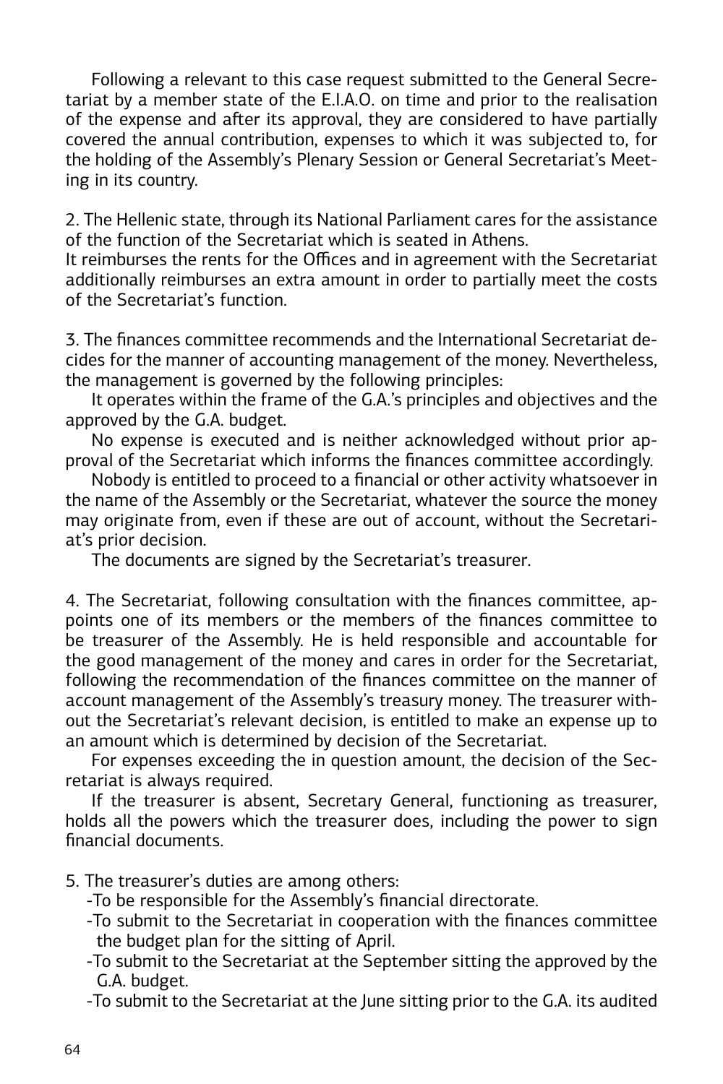Following a relevant to this case request submitted to the General Secretariat by a member state of the E.I.A.O. on time and prior to the realisation of the expense and after its approval, they are considered to have partially covered the annual contribution, expenses to which it was subjected to, for the holding of the Assembly's Plenary Session or General Secretariat's Meeting in its country.

2. The Hellenic state, through its National Parliament cares for the assistance of the function of the Secretariat which is seated in Athens.

It reimburses the rents for the Offices and in agreement with the Secretariat additionally reimburses an extra amount in order to partially meet the costs of the Secretariat's function.

3. The finances committee recommends and the International Secretariat decides for the manner of accounting management of the money. Nevertheless, the management is governed by the following principles:

It operates within the frame of the G.A.'s principles and objectives and the approved by the G.A. budget.

No expense is executed and is neither acknowledged without prior approval of the Secretariat which informs the finances committee accordingly.

Nobody is entitled to proceed to a financial or other activity whatsoever in the name of the Assembly or the Secretariat, whatever the source the money may originate from, even if these are out of account, without the Secretariat's prior decision.

The documents are signed by the Secretariat's treasurer.

4. The Secretariat, following consultation with the finances committee, appoints one of its members or the members of the finances committee to be treasurer of the Assembly. He is held responsible and accountable for the good management of the money and cares in order for the Secretariat, following the recommendation of the finances committee on the manner of account management of the Assembly's treasury money. The treasurer without the Secretariat's relevant decision, is entitled to make an expense up to an amount which is determined by decision of the Secretariat.

For expenses exceeding the in question amount, the decision of the Secretariat is always required.

If the treasurer is absent, Secretary General, functioning as treasurer, holds all the powers which the treasurer does, including the power to sign financial documents.

5. The treasurer's duties are among others:

-To be responsible for the Assembly's financial directorate.

- -To submit to the Secretariat in cooperation with the finances committee the budget plan for the sitting of April.
- -To submit to the Secretariat at the September sitting the approved by the G.A. budget.

-To submit to the Secretariat at the June sitting prior to the G.A. its audited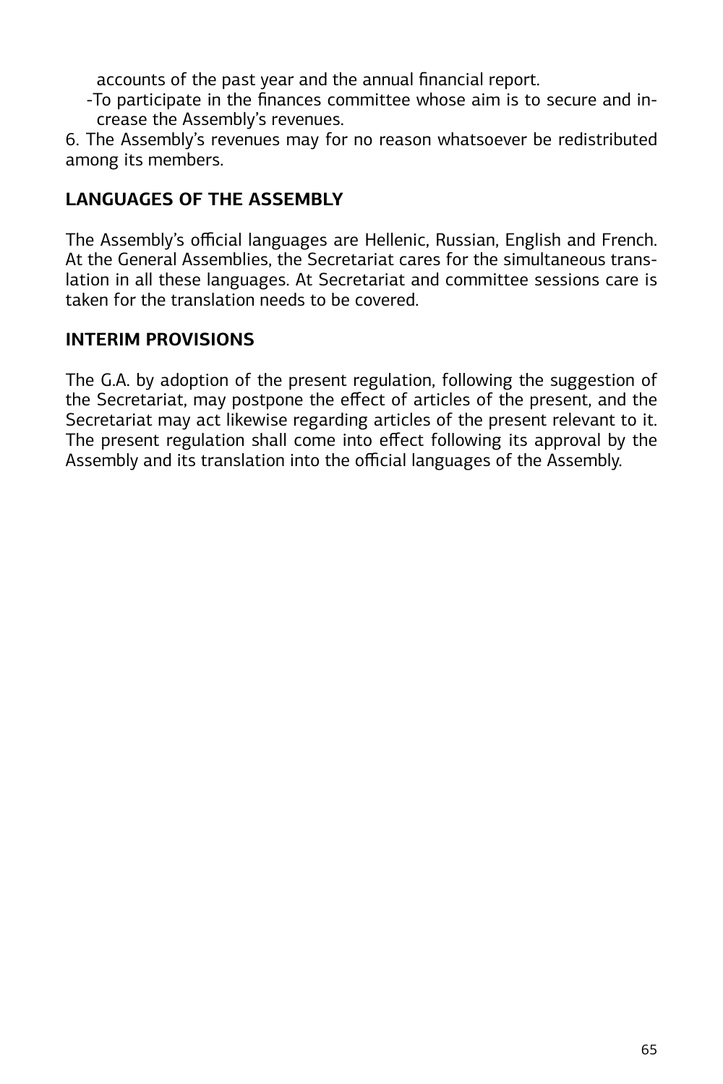accounts of the past year and the annual financial report.

-To participate in the finances committee whose aim is to secure and increase the Assembly's revenues.

6. The Assembly's revenues may for no reason whatsoever be redistributed among its members.

## **LANGUAGES OF THE ASSEMBLY**

The Assembly's official languages are Hellenic, Russian, English and French. At the General Assemblies, the Secretariat cares for the simultaneous translation in all these languages. At Secretariat and committee sessions care is taken for the translation needs to be covered.

## **INTERIM PROVISIONS**

The G.A. by adoption of the present regulation, following the suggestion of the Secretariat, may postpone the effect of articles of the present, and the Secretariat may act likewise regarding articles of the present relevant to it. The present regulation shall come into effect following its approval by the Assembly and its translation into the official languages of the Assembly.